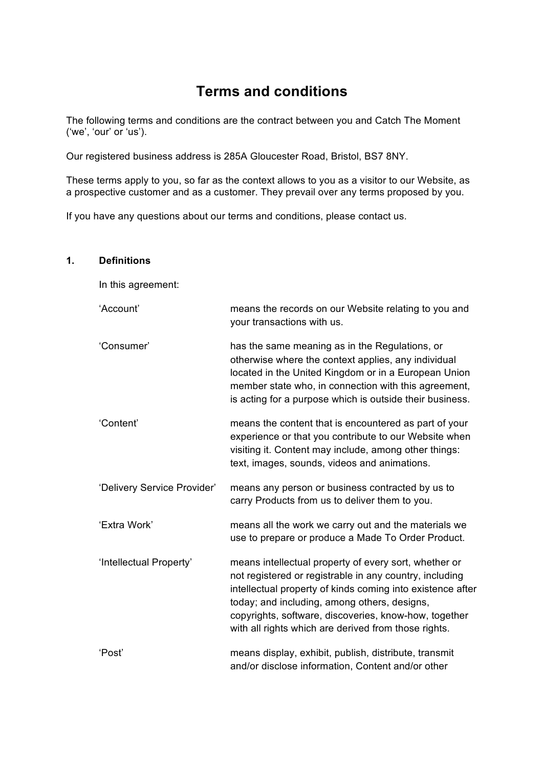# **Terms and conditions**

The following terms and conditions are the contract between you and Catch The Moment ('we', 'our' or 'us').

Our registered business address is 285A Gloucester Road, Bristol, BS7 8NY.

These terms apply to you, so far as the context allows to you as a visitor to our Website, as a prospective customer and as a customer. They prevail over any terms proposed by you.

If you have any questions about our terms and conditions, please contact us.

#### **1. Definitions**

In this agreement:

| 'Account'                   | means the records on our Website relating to you and<br>your transactions with us.                                                                                                                                                                                                                                                              |
|-----------------------------|-------------------------------------------------------------------------------------------------------------------------------------------------------------------------------------------------------------------------------------------------------------------------------------------------------------------------------------------------|
| 'Consumer'                  | has the same meaning as in the Regulations, or<br>otherwise where the context applies, any individual<br>located in the United Kingdom or in a European Union<br>member state who, in connection with this agreement,<br>is acting for a purpose which is outside their business.                                                               |
| 'Content'                   | means the content that is encountered as part of your<br>experience or that you contribute to our Website when<br>visiting it. Content may include, among other things:<br>text, images, sounds, videos and animations.                                                                                                                         |
| 'Delivery Service Provider' | means any person or business contracted by us to<br>carry Products from us to deliver them to you.                                                                                                                                                                                                                                              |
| 'Extra Work'                | means all the work we carry out and the materials we<br>use to prepare or produce a Made To Order Product.                                                                                                                                                                                                                                      |
| 'Intellectual Property'     | means intellectual property of every sort, whether or<br>not registered or registrable in any country, including<br>intellectual property of kinds coming into existence after<br>today; and including, among others, designs,<br>copyrights, software, discoveries, know-how, together<br>with all rights which are derived from those rights. |
| 'Post'                      | means display, exhibit, publish, distribute, transmit<br>and/or disclose information, Content and/or other                                                                                                                                                                                                                                      |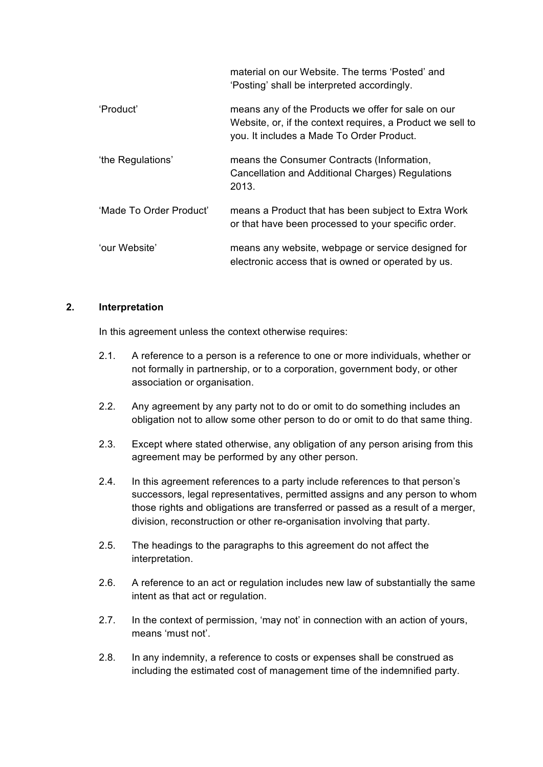material on our Website. The terms 'Posted' and 'Posting' shall be interpreted accordingly.

- 'Product' means any of the Products we offer for sale on our Website, or, if the context requires, a Product we sell to you. It includes a Made To Order Product. 'the Regulations' means the Consumer Contracts (Information, Cancellation and Additional Charges) Regulations
- 'Made To Order Product' means a Product that has been subject to Extra Work or that have been processed to your specific order.

2013.

'our Website' means any website, webpage or service designed for electronic access that is owned or operated by us.

#### **2. Interpretation**

In this agreement unless the context otherwise requires:

- 2.1. A reference to a person is a reference to one or more individuals, whether or not formally in partnership, or to a corporation, government body, or other association or organisation.
- 2.2. Any agreement by any party not to do or omit to do something includes an obligation not to allow some other person to do or omit to do that same thing.
- 2.3. Except where stated otherwise, any obligation of any person arising from this agreement may be performed by any other person.
- 2.4. In this agreement references to a party include references to that person's successors, legal representatives, permitted assigns and any person to whom those rights and obligations are transferred or passed as a result of a merger, division, reconstruction or other re-organisation involving that party.
- 2.5. The headings to the paragraphs to this agreement do not affect the interpretation.
- 2.6. A reference to an act or regulation includes new law of substantially the same intent as that act or regulation.
- 2.7. In the context of permission, 'may not' in connection with an action of yours, means 'must not'.
- 2.8. In any indemnity, a reference to costs or expenses shall be construed as including the estimated cost of management time of the indemnified party.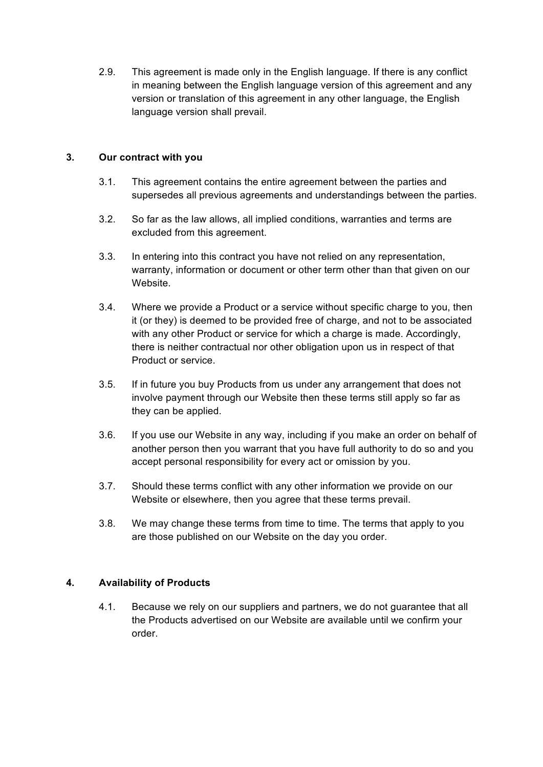2.9. This agreement is made only in the English language. If there is any conflict in meaning between the English language version of this agreement and any version or translation of this agreement in any other language, the English language version shall prevail.

## **3. Our contract with you**

- 3.1. This agreement contains the entire agreement between the parties and supersedes all previous agreements and understandings between the parties.
- 3.2. So far as the law allows, all implied conditions, warranties and terms are excluded from this agreement.
- 3.3. In entering into this contract you have not relied on any representation, warranty, information or document or other term other than that given on our Website.
- 3.4. Where we provide a Product or a service without specific charge to you, then it (or they) is deemed to be provided free of charge, and not to be associated with any other Product or service for which a charge is made. Accordingly, there is neither contractual nor other obligation upon us in respect of that Product or service.
- 3.5. If in future you buy Products from us under any arrangement that does not involve payment through our Website then these terms still apply so far as they can be applied.
- 3.6. If you use our Website in any way, including if you make an order on behalf of another person then you warrant that you have full authority to do so and you accept personal responsibility for every act or omission by you.
- 3.7. Should these terms conflict with any other information we provide on our Website or elsewhere, then you agree that these terms prevail.
- 3.8. We may change these terms from time to time. The terms that apply to you are those published on our Website on the day you order.

## **4. Availability of Products**

4.1. Because we rely on our suppliers and partners, we do not guarantee that all the Products advertised on our Website are available until we confirm your order.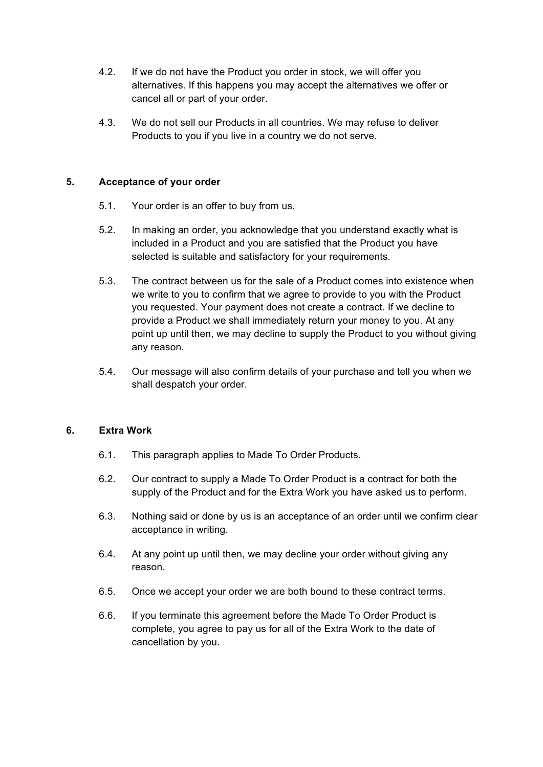- 4.2. If we do not have the Product you order in stock, we will offer you alternatives. If this happens you may accept the alternatives we offer or cancel all or part of your order.
- 4.3. We do not sell our Products in all countries. We may refuse to deliver Products to you if you live in a country we do not serve.

### **5. Acceptance of your order**

- 5.1. Your order is an offer to buy from us.
- 5.2. In making an order, you acknowledge that you understand exactly what is included in a Product and you are satisfied that the Product you have selected is suitable and satisfactory for your requirements.
- 5.3. The contract between us for the sale of a Product comes into existence when we write to you to confirm that we agree to provide to you with the Product you requested. Your payment does not create a contract. If we decline to provide a Product we shall immediately return your money to you. At any point up until then, we may decline to supply the Product to you without giving any reason.
- 5.4. Our message will also confirm details of your purchase and tell you when we shall despatch your order.

#### **6. Extra Work**

- 6.1. This paragraph applies to Made To Order Products.
- 6.2. Our contract to supply a Made To Order Product is a contract for both the supply of the Product and for the Extra Work you have asked us to perform.
- 6.3. Nothing said or done by us is an acceptance of an order until we confirm clear acceptance in writing.
- 6.4. At any point up until then, we may decline your order without giving any reason.
- 6.5. Once we accept your order we are both bound to these contract terms.
- 6.6. If you terminate this agreement before the Made To Order Product is complete, you agree to pay us for all of the Extra Work to the date of cancellation by you.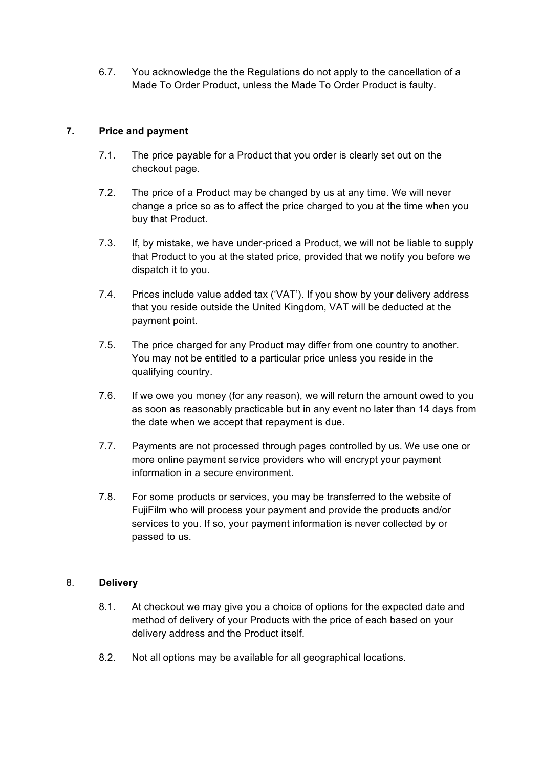6.7. You acknowledge the the Regulations do not apply to the cancellation of a Made To Order Product, unless the Made To Order Product is faulty.

## **7. Price and payment**

- 7.1. The price payable for a Product that you order is clearly set out on the checkout page.
- 7.2. The price of a Product may be changed by us at any time. We will never change a price so as to affect the price charged to you at the time when you buy that Product.
- 7.3. If, by mistake, we have under-priced a Product, we will not be liable to supply that Product to you at the stated price, provided that we notify you before we dispatch it to you.
- 7.4. Prices include value added tax ('VAT'). If you show by your delivery address that you reside outside the United Kingdom, VAT will be deducted at the payment point.
- 7.5. The price charged for any Product may differ from one country to another. You may not be entitled to a particular price unless you reside in the qualifying country.
- 7.6. If we owe you money (for any reason), we will return the amount owed to you as soon as reasonably practicable but in any event no later than 14 days from the date when we accept that repayment is due.
- 7.7. Payments are not processed through pages controlled by us. We use one or more online payment service providers who will encrypt your payment information in a secure environment.
- 7.8. For some products or services, you may be transferred to the website of FujiFilm who will process your payment and provide the products and/or services to you. If so, your payment information is never collected by or passed to us.

### 8. **Delivery**

- 8.1. At checkout we may give you a choice of options for the expected date and method of delivery of your Products with the price of each based on your delivery address and the Product itself.
- 8.2. Not all options may be available for all geographical locations.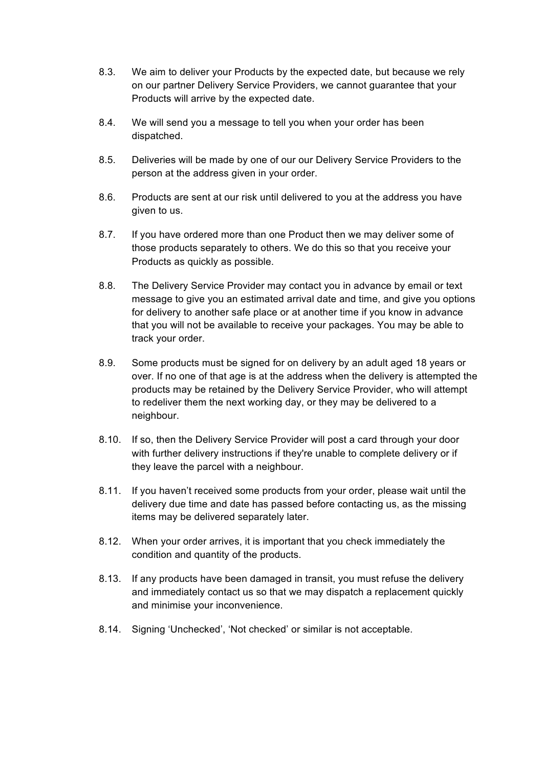- 8.3. We aim to deliver your Products by the expected date, but because we rely on our partner Delivery Service Providers, we cannot guarantee that your Products will arrive by the expected date.
- 8.4. We will send you a message to tell you when your order has been dispatched.
- 8.5. Deliveries will be made by one of our our Delivery Service Providers to the person at the address given in your order.
- 8.6. Products are sent at our risk until delivered to you at the address you have given to us.
- 8.7. If you have ordered more than one Product then we may deliver some of those products separately to others. We do this so that you receive your Products as quickly as possible.
- 8.8. The Delivery Service Provider may contact you in advance by email or text message to give you an estimated arrival date and time, and give you options for delivery to another safe place or at another time if you know in advance that you will not be available to receive your packages. You may be able to track your order.
- 8.9. Some products must be signed for on delivery by an adult aged 18 years or over. If no one of that age is at the address when the delivery is attempted the products may be retained by the Delivery Service Provider, who will attempt to redeliver them the next working day, or they may be delivered to a neighbour.
- 8.10. If so, then the Delivery Service Provider will post a card through your door with further delivery instructions if they're unable to complete delivery or if they leave the parcel with a neighbour.
- 8.11. If you haven't received some products from your order, please wait until the delivery due time and date has passed before contacting us, as the missing items may be delivered separately later.
- 8.12. When your order arrives, it is important that you check immediately the condition and quantity of the products.
- 8.13. If any products have been damaged in transit, you must refuse the delivery and immediately contact us so that we may dispatch a replacement quickly and minimise your inconvenience.
- 8.14. Signing 'Unchecked', 'Not checked' or similar is not acceptable.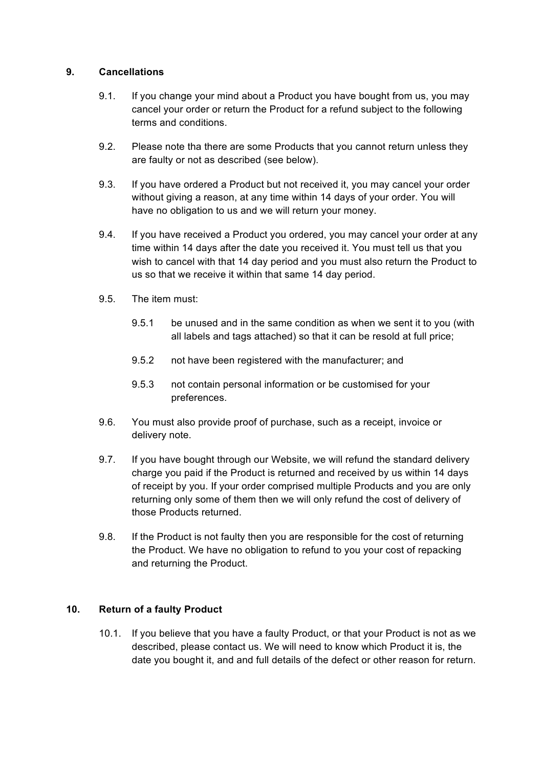#### **9. Cancellations**

- 9.1. If you change your mind about a Product you have bought from us, you may cancel your order or return the Product for a refund subject to the following terms and conditions.
- 9.2. Please note tha there are some Products that you cannot return unless they are faulty or not as described (see below).
- 9.3. If you have ordered a Product but not received it, you may cancel your order without giving a reason, at any time within 14 days of your order. You will have no obligation to us and we will return your money.
- 9.4. If you have received a Product you ordered, you may cancel your order at any time within 14 days after the date you received it. You must tell us that you wish to cancel with that 14 day period and you must also return the Product to us so that we receive it within that same 14 day period.
- 9.5. The item must:
	- 9.5.1 be unused and in the same condition as when we sent it to you (with all labels and tags attached) so that it can be resold at full price;
	- 9.5.2 not have been registered with the manufacturer; and
	- 9.5.3 not contain personal information or be customised for your preferences.
- 9.6. You must also provide proof of purchase, such as a receipt, invoice or delivery note.
- 9.7. If you have bought through our Website, we will refund the standard delivery charge you paid if the Product is returned and received by us within 14 days of receipt by you. If your order comprised multiple Products and you are only returning only some of them then we will only refund the cost of delivery of those Products returned.
- 9.8. If the Product is not faulty then you are responsible for the cost of returning the Product. We have no obligation to refund to you your cost of repacking and returning the Product.

## **10. Return of a faulty Product**

10.1. If you believe that you have a faulty Product, or that your Product is not as we described, please contact us. We will need to know which Product it is, the date you bought it, and and full details of the defect or other reason for return.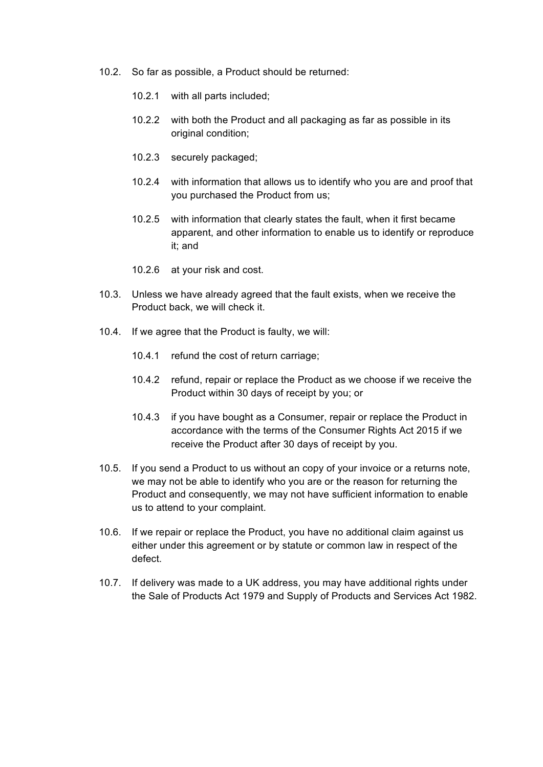- 10.2. So far as possible, a Product should be returned:
	- 10.2.1 with all parts included;
	- 10.2.2 with both the Product and all packaging as far as possible in its original condition;
	- 10.2.3 securely packaged;
	- 10.2.4 with information that allows us to identify who you are and proof that you purchased the Product from us;
	- 10.2.5 with information that clearly states the fault, when it first became apparent, and other information to enable us to identify or reproduce it; and
	- 10.2.6 at your risk and cost.
- 10.3. Unless we have already agreed that the fault exists, when we receive the Product back, we will check it.
- 10.4. If we agree that the Product is faulty, we will:
	- 10.4.1 refund the cost of return carriage;
	- 10.4.2 refund, repair or replace the Product as we choose if we receive the Product within 30 days of receipt by you; or
	- 10.4.3 if you have bought as a Consumer, repair or replace the Product in accordance with the terms of the Consumer Rights Act 2015 if we receive the Product after 30 days of receipt by you.
- 10.5. If you send a Product to us without an copy of your invoice or a returns note, we may not be able to identify who you are or the reason for returning the Product and consequently, we may not have sufficient information to enable us to attend to your complaint.
- 10.6. If we repair or replace the Product, you have no additional claim against us either under this agreement or by statute or common law in respect of the defect.
- 10.7. If delivery was made to a UK address, you may have additional rights under the Sale of Products Act 1979 and Supply of Products and Services Act 1982.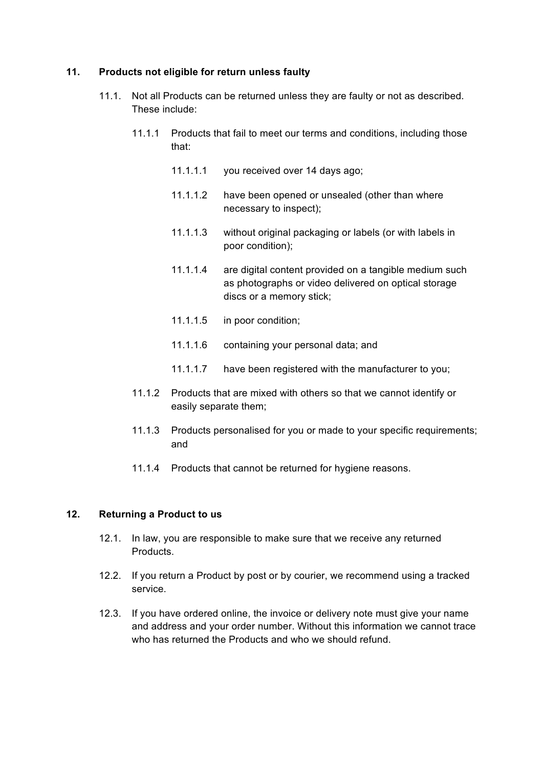#### **11. Products not eligible for return unless faulty**

- 11.1. Not all Products can be returned unless they are faulty or not as described. These include:
	- 11.1.1 Products that fail to meet our terms and conditions, including those that:
		- 11.1.1.1 you received over 14 days ago;
		- 11.1.1.2 have been opened or unsealed (other than where necessary to inspect);
		- 11.1.1.3 without original packaging or labels (or with labels in poor condition);
		- 11.1.1.4 are digital content provided on a tangible medium such as photographs or video delivered on optical storage discs or a memory stick;
		- 11.1.1.5 in poor condition;
		- 11.1.1.6 containing your personal data; and
		- 11.1.1.7 have been registered with the manufacturer to you;
	- 11.1.2 Products that are mixed with others so that we cannot identify or easily separate them;
	- 11.1.3 Products personalised for you or made to your specific requirements; and
	- 11.1.4 Products that cannot be returned for hygiene reasons.

#### **12. Returning a Product to us**

- 12.1. In law, you are responsible to make sure that we receive any returned Products.
- 12.2. If you return a Product by post or by courier, we recommend using a tracked service.
- 12.3. If you have ordered online, the invoice or delivery note must give your name and address and your order number. Without this information we cannot trace who has returned the Products and who we should refund.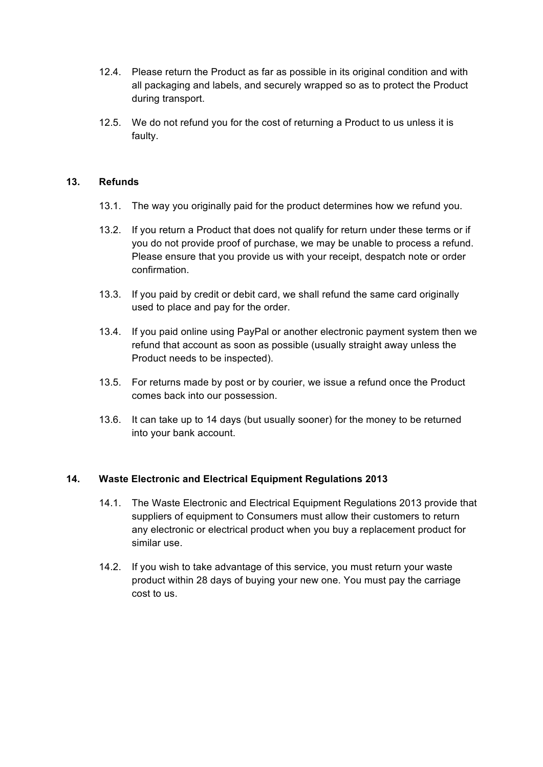- 12.4. Please return the Product as far as possible in its original condition and with all packaging and labels, and securely wrapped so as to protect the Product during transport.
- 12.5. We do not refund you for the cost of returning a Product to us unless it is faulty.

#### **13. Refunds**

- 13.1. The way you originally paid for the product determines how we refund you.
- 13.2. If you return a Product that does not qualify for return under these terms or if you do not provide proof of purchase, we may be unable to process a refund. Please ensure that you provide us with your receipt, despatch note or order confirmation.
- 13.3. If you paid by credit or debit card, we shall refund the same card originally used to place and pay for the order.
- 13.4. If you paid online using PayPal or another electronic payment system then we refund that account as soon as possible (usually straight away unless the Product needs to be inspected).
- 13.5. For returns made by post or by courier, we issue a refund once the Product comes back into our possession.
- 13.6. It can take up to 14 days (but usually sooner) for the money to be returned into your bank account.

## **14. Waste Electronic and Electrical Equipment Regulations 2013**

- 14.1. The Waste Electronic and Electrical Equipment Regulations 2013 provide that suppliers of equipment to Consumers must allow their customers to return any electronic or electrical product when you buy a replacement product for similar use.
- 14.2. If you wish to take advantage of this service, you must return your waste product within 28 days of buying your new one. You must pay the carriage cost to us.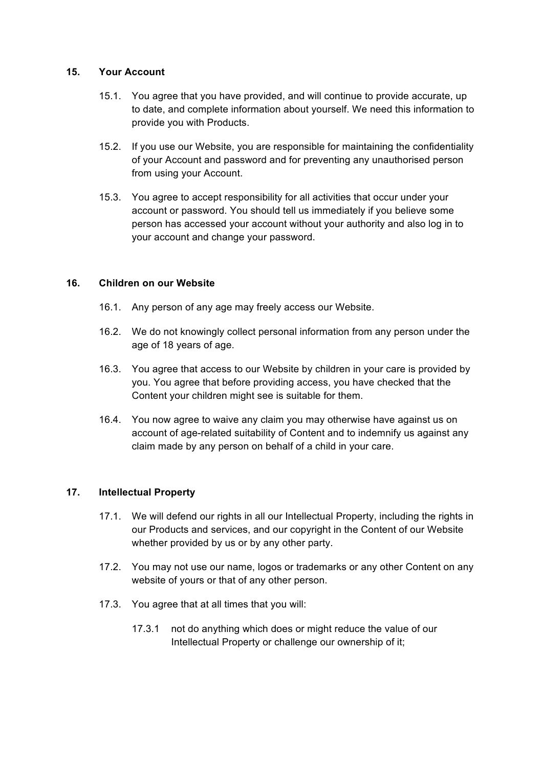#### **15. Your Account**

- 15.1. You agree that you have provided, and will continue to provide accurate, up to date, and complete information about yourself. We need this information to provide you with Products.
- 15.2. If you use our Website, you are responsible for maintaining the confidentiality of your Account and password and for preventing any unauthorised person from using your Account.
- 15.3. You agree to accept responsibility for all activities that occur under your account or password. You should tell us immediately if you believe some person has accessed your account without your authority and also log in to your account and change your password.

### **16. Children on our Website**

- 16.1. Any person of any age may freely access our Website.
- 16.2. We do not knowingly collect personal information from any person under the age of 18 years of age.
- 16.3. You agree that access to our Website by children in your care is provided by you. You agree that before providing access, you have checked that the Content your children might see is suitable for them.
- 16.4. You now agree to waive any claim you may otherwise have against us on account of age-related suitability of Content and to indemnify us against any claim made by any person on behalf of a child in your care.

## **17. Intellectual Property**

- 17.1. We will defend our rights in all our Intellectual Property, including the rights in our Products and services, and our copyright in the Content of our Website whether provided by us or by any other party.
- 17.2. You may not use our name, logos or trademarks or any other Content on any website of yours or that of any other person.
- 17.3. You agree that at all times that you will:
	- 17.3.1 not do anything which does or might reduce the value of our Intellectual Property or challenge our ownership of it;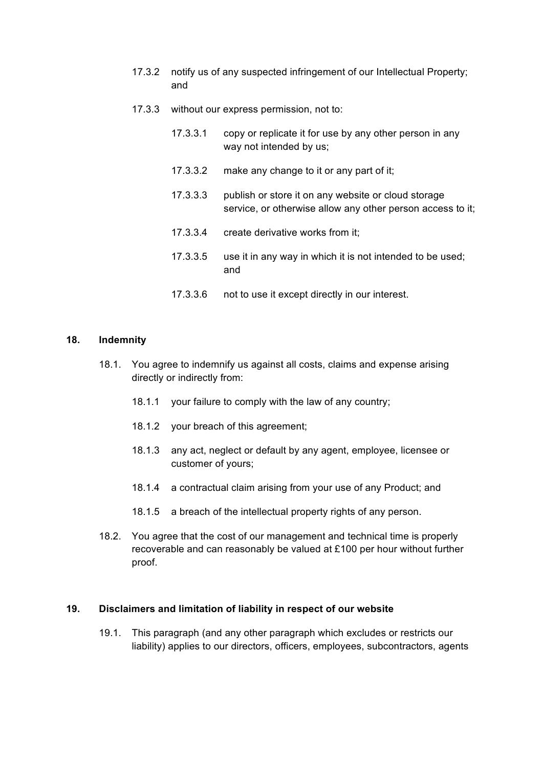- 17.3.2 notify us of any suspected infringement of our Intellectual Property; and
- 17.3.3 without our express permission, not to:
	- 17.3.3.1 copy or replicate it for use by any other person in any way not intended by us;
	- 17.3.3.2 make any change to it or any part of it;
	- 17.3.3.3 publish or store it on any website or cloud storage service, or otherwise allow any other person access to it;
	- 17.3.3.4 create derivative works from it;
	- 17.3.3.5 use it in any way in which it is not intended to be used; and
	- 17.3.3.6 not to use it except directly in our interest.

#### **18. Indemnity**

- 18.1. You agree to indemnify us against all costs, claims and expense arising directly or indirectly from:
	- 18.1.1 your failure to comply with the law of any country;
	- 18.1.2 your breach of this agreement;
	- 18.1.3 any act, neglect or default by any agent, employee, licensee or customer of yours;
	- 18.1.4 a contractual claim arising from your use of any Product; and
	- 18.1.5 a breach of the intellectual property rights of any person.
- 18.2. You agree that the cost of our management and technical time is properly recoverable and can reasonably be valued at £100 per hour without further proof.

#### **19. Disclaimers and limitation of liability in respect of our website**

19.1. This paragraph (and any other paragraph which excludes or restricts our liability) applies to our directors, officers, employees, subcontractors, agents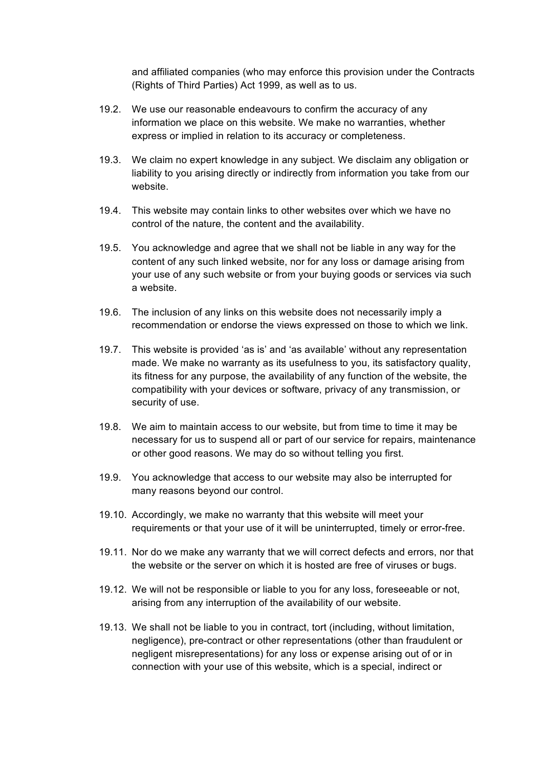and affiliated companies (who may enforce this provision under the Contracts (Rights of Third Parties) Act 1999, as well as to us.

- 19.2. We use our reasonable endeavours to confirm the accuracy of any information we place on this website. We make no warranties, whether express or implied in relation to its accuracy or completeness.
- 19.3. We claim no expert knowledge in any subject. We disclaim any obligation or liability to you arising directly or indirectly from information you take from our website.
- 19.4. This website may contain links to other websites over which we have no control of the nature, the content and the availability.
- 19.5. You acknowledge and agree that we shall not be liable in any way for the content of any such linked website, nor for any loss or damage arising from your use of any such website or from your buying goods or services via such a website.
- 19.6. The inclusion of any links on this website does not necessarily imply a recommendation or endorse the views expressed on those to which we link.
- 19.7. This website is provided 'as is' and 'as available' without any representation made. We make no warranty as its usefulness to you, its satisfactory quality, its fitness for any purpose, the availability of any function of the website, the compatibility with your devices or software, privacy of any transmission, or security of use.
- 19.8. We aim to maintain access to our website, but from time to time it may be necessary for us to suspend all or part of our service for repairs, maintenance or other good reasons. We may do so without telling you first.
- 19.9. You acknowledge that access to our website may also be interrupted for many reasons beyond our control.
- 19.10. Accordingly, we make no warranty that this website will meet your requirements or that your use of it will be uninterrupted, timely or error-free.
- 19.11. Nor do we make any warranty that we will correct defects and errors, nor that the website or the server on which it is hosted are free of viruses or bugs.
- 19.12. We will not be responsible or liable to you for any loss, foreseeable or not, arising from any interruption of the availability of our website.
- 19.13. We shall not be liable to you in contract, tort (including, without limitation, negligence), pre-contract or other representations (other than fraudulent or negligent misrepresentations) for any loss or expense arising out of or in connection with your use of this website, which is a special, indirect or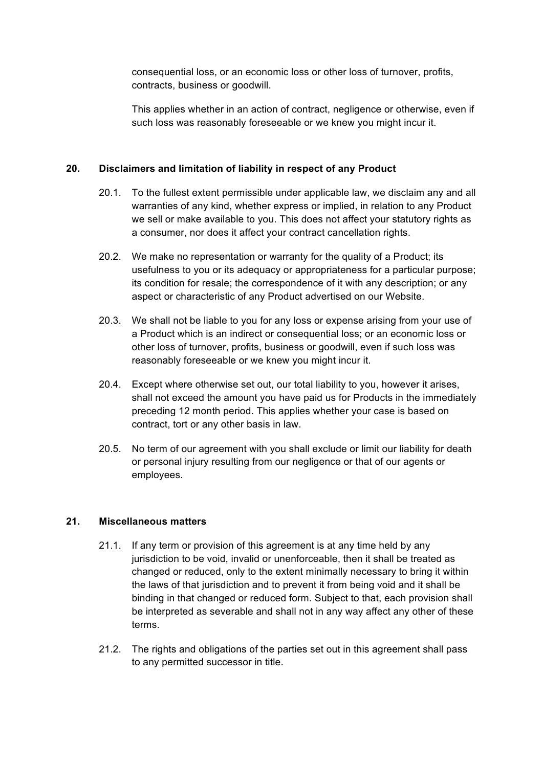consequential loss, or an economic loss or other loss of turnover, profits, contracts, business or goodwill.

This applies whether in an action of contract, negligence or otherwise, even if such loss was reasonably foreseeable or we knew you might incur it.

## **20. Disclaimers and limitation of liability in respect of any Product**

- 20.1. To the fullest extent permissible under applicable law, we disclaim any and all warranties of any kind, whether express or implied, in relation to any Product we sell or make available to you. This does not affect your statutory rights as a consumer, nor does it affect your contract cancellation rights.
- 20.2. We make no representation or warranty for the quality of a Product; its usefulness to you or its adequacy or appropriateness for a particular purpose; its condition for resale; the correspondence of it with any description; or any aspect or characteristic of any Product advertised on our Website.
- 20.3. We shall not be liable to you for any loss or expense arising from your use of a Product which is an indirect or consequential loss; or an economic loss or other loss of turnover, profits, business or goodwill, even if such loss was reasonably foreseeable or we knew you might incur it.
- 20.4. Except where otherwise set out, our total liability to you, however it arises, shall not exceed the amount you have paid us for Products in the immediately preceding 12 month period. This applies whether your case is based on contract, tort or any other basis in law.
- 20.5. No term of our agreement with you shall exclude or limit our liability for death or personal injury resulting from our negligence or that of our agents or employees.

#### **21. Miscellaneous matters**

- 21.1. If any term or provision of this agreement is at any time held by any jurisdiction to be void, invalid or unenforceable, then it shall be treated as changed or reduced, only to the extent minimally necessary to bring it within the laws of that jurisdiction and to prevent it from being void and it shall be binding in that changed or reduced form. Subject to that, each provision shall be interpreted as severable and shall not in any way affect any other of these terms.
- 21.2. The rights and obligations of the parties set out in this agreement shall pass to any permitted successor in title.